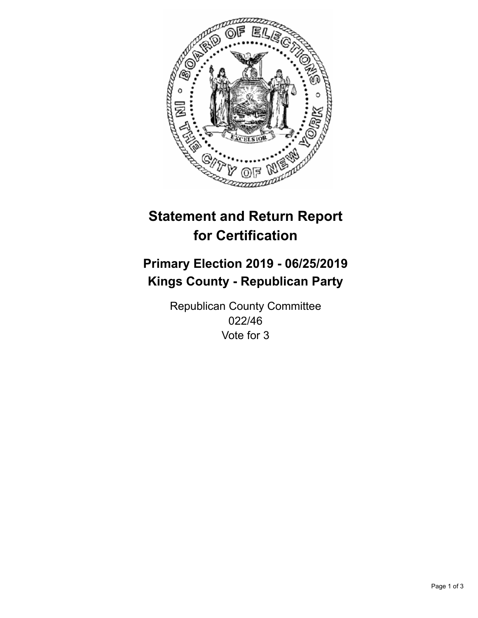

## **Statement and Return Report for Certification**

## **Primary Election 2019 - 06/25/2019 Kings County - Republican Party**

Republican County Committee 022/46 Vote for 3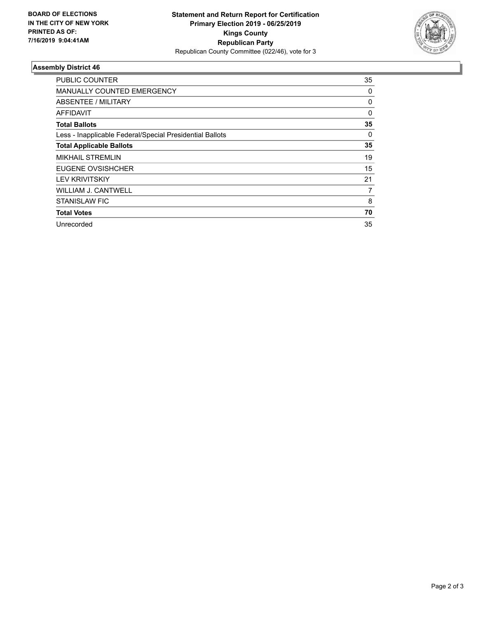

## **Assembly District 46**

| <b>PUBLIC COUNTER</b>                                    | 35 |
|----------------------------------------------------------|----|
| MANUALLY COUNTED EMERGENCY                               | 0  |
| ABSENTEE / MILITARY                                      | 0  |
| <b>AFFIDAVIT</b>                                         | 0  |
| <b>Total Ballots</b>                                     | 35 |
| Less - Inapplicable Federal/Special Presidential Ballots | 0  |
| <b>Total Applicable Ballots</b>                          | 35 |
| <b>MIKHAIL STREMLIN</b>                                  | 19 |
| EUGENE OVSISHCHER                                        | 15 |
| <b>LEV KRIVITSKIY</b>                                    | 21 |
| WILLIAM J. CANTWELL                                      | 7  |
| <b>STANISLAW FIC</b>                                     | 8  |
| <b>Total Votes</b>                                       | 70 |
| Unrecorded                                               | 35 |